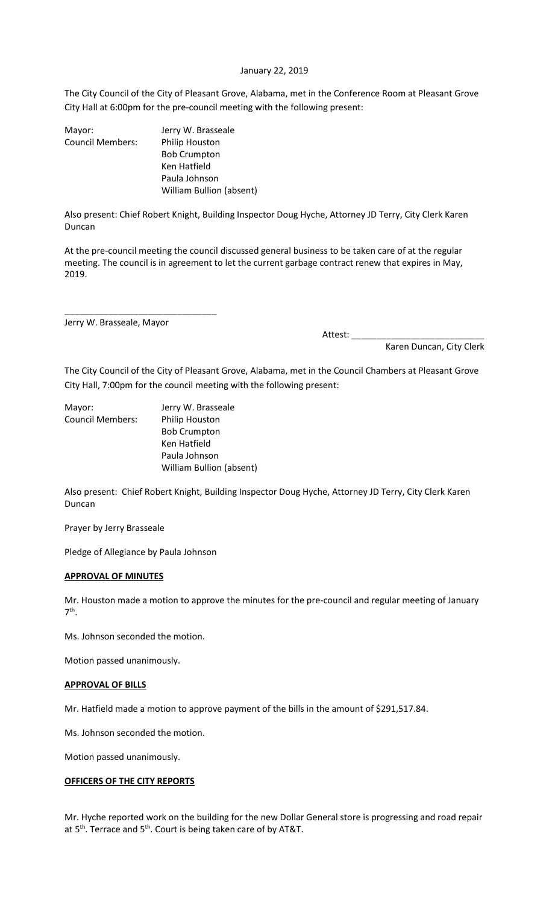## January 22, 2019

The City Council of the City of Pleasant Grove, Alabama, met in the Conference Room at Pleasant Grove City Hall at 6:00pm for the pre-council meeting with the following present:

| Mayor:                  | Jerry W. Brasseale              |
|-------------------------|---------------------------------|
| <b>Council Members:</b> | Philip Houston                  |
|                         | <b>Bob Crumpton</b>             |
|                         | Ken Hatfield                    |
|                         | Paula Johnson                   |
|                         | <b>William Bullion (absent)</b> |
|                         |                                 |

Also present: Chief Robert Knight, Building Inspector Doug Hyche, Attorney JD Terry, City Clerk Karen Duncan

At the pre-council meeting the council discussed general business to be taken care of at the regular meeting. The council is in agreement to let the current garbage contract renew that expires in May, 2019.

Jerry W. Brasseale, Mayor

\_\_\_\_\_\_\_\_\_\_\_\_\_\_\_\_\_\_\_\_\_\_\_\_\_\_\_\_\_\_\_

Attest: \_\_\_\_\_\_\_\_\_\_\_\_\_\_\_\_\_\_\_\_\_\_\_\_\_\_\_

Karen Duncan, City Clerk

The City Council of the City of Pleasant Grove, Alabama, met in the Council Chambers at Pleasant Grove City Hall, 7:00pm for the council meeting with the following present:

| Mayor:           | Jerry W. Brasseale       |
|------------------|--------------------------|
| Council Members: | <b>Philip Houston</b>    |
|                  | <b>Bob Crumpton</b>      |
|                  | Ken Hatfield             |
|                  | Paula Johnson            |
|                  | William Bullion (absent) |

Also present: Chief Robert Knight, Building Inspector Doug Hyche, Attorney JD Terry, City Clerk Karen Duncan

Prayer by Jerry Brasseale

Pledge of Allegiance by Paula Johnson

# **APPROVAL OF MINUTES**

Mr. Houston made a motion to approve the minutes for the pre-council and regular meeting of January 7 th .

Ms. Johnson seconded the motion.

Motion passed unanimously.

# **APPROVAL OF BILLS**

Mr. Hatfield made a motion to approve payment of the bills in the amount of \$291,517.84.

Ms. Johnson seconded the motion.

Motion passed unanimously.

# **OFFICERS OF THE CITY REPORTS**

Mr. Hyche reported work on the building for the new Dollar General store is progressing and road repair at 5<sup>th</sup>. Terrace and 5<sup>th</sup>. Court is being taken care of by AT&T.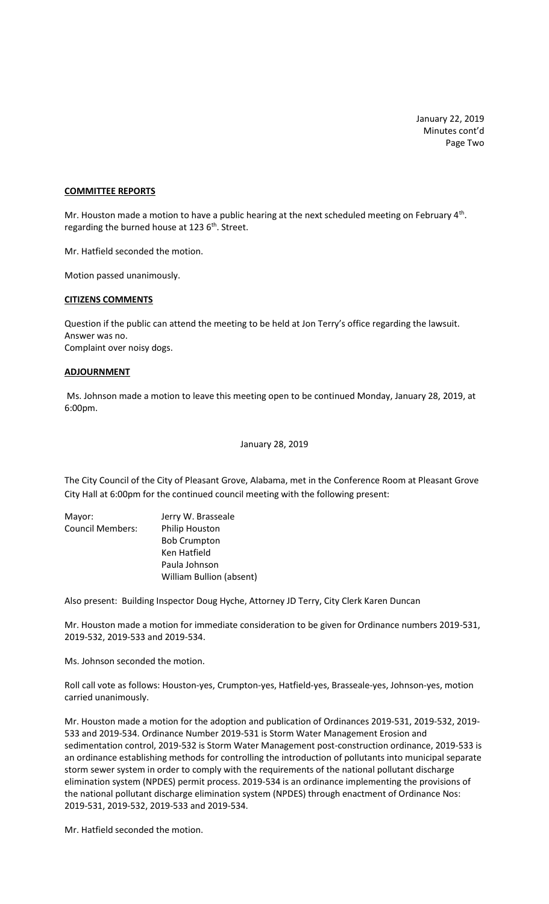January 22, 2019 Minutes cont'd Page Two

## **COMMITTEE REPORTS**

Mr. Houston made a motion to have a public hearing at the next scheduled meeting on February 4<sup>th</sup>. regarding the burned house at 123 6<sup>th</sup>. Street.

Mr. Hatfield seconded the motion.

Motion passed unanimously.

#### **CITIZENS COMMENTS**

Question if the public can attend the meeting to be held at Jon Terry's office regarding the lawsuit. Answer was no. Complaint over noisy dogs.

#### **ADJOURNMENT**

Ms. Johnson made a motion to leave this meeting open to be continued Monday, January 28, 2019, at 6:00pm.

January 28, 2019

The City Council of the City of Pleasant Grove, Alabama, met in the Conference Room at Pleasant Grove City Hall at 6:00pm for the continued council meeting with the following present:

| Mayor:                  | Jerry W. Brasseale              |
|-------------------------|---------------------------------|
| <b>Council Members:</b> | <b>Philip Houston</b>           |
|                         | <b>Bob Crumpton</b>             |
|                         | Ken Hatfield                    |
|                         | Paula Johnson                   |
|                         | <b>William Bullion (absent)</b> |

Also present: Building Inspector Doug Hyche, Attorney JD Terry, City Clerk Karen Duncan

Mr. Houston made a motion for immediate consideration to be given for Ordinance numbers 2019-531, 2019-532, 2019-533 and 2019-534.

Ms. Johnson seconded the motion.

Roll call vote as follows: Houston-yes, Crumpton-yes, Hatfield-yes, Brasseale-yes, Johnson-yes, motion carried unanimously.

Mr. Houston made a motion for the adoption and publication of Ordinances 2019-531, 2019-532, 2019- 533 and 2019-534. Ordinance Number 2019-531 is Storm Water Management Erosion and sedimentation control, 2019-532 is Storm Water Management post-construction ordinance, 2019-533 is an ordinance establishing methods for controlling the introduction of pollutants into municipal separate storm sewer system in order to comply with the requirements of the national pollutant discharge elimination system (NPDES) permit process. 2019-534 is an ordinance implementing the provisions of the national pollutant discharge elimination system (NPDES) through enactment of Ordinance Nos: 2019-531, 2019-532, 2019-533 and 2019-534.

Mr. Hatfield seconded the motion.